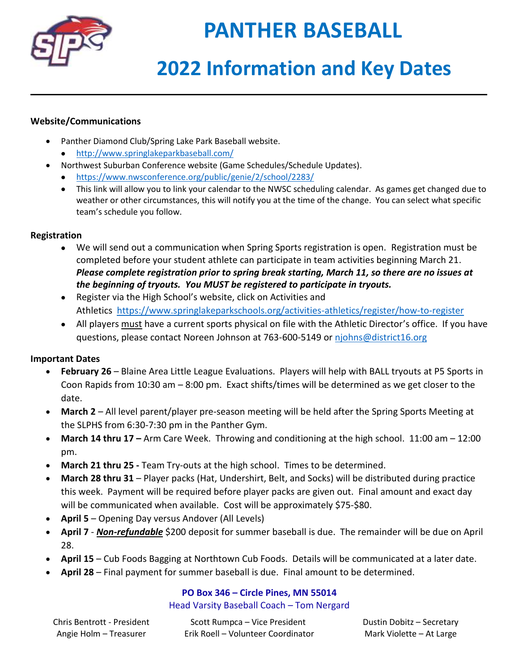

# **PANTHER BASEBALL**

# **2022 Information and Key Dates**

### **Website/Communications**

- Panther Diamond Club/Spring Lake Park Baseball website.
	- <http://www.springlakeparkbaseball.com/>
- Northwest Suburban Conference website (Game Schedules/Schedule Updates).
	- <https://www.nwsconference.org/public/genie/2/school/2283/>
	- This link will allow you to link your calendar to the NWSC scheduling calendar. As games get changed due to weather or other circumstances, this will notify you at the time of the change. You can select what specific team's schedule you follow.

#### **Registration**

- We will send out a communication when Spring Sports registration is open. Registration must be completed before your student athlete can participate in team activities beginning March 21. *Please complete registration prior to spring break starting, March 11, so there are no issues at the beginning of tryouts. You MUST be registered to participate in tryouts.*
- Register via the High School's website, click on Activities and Athletics <https://www.springlakeparkschools.org/activities-athletics/register/how-to-register>
- All players must have a current sports physical on file with the Athletic Director's office. If you have questions, please contact Noreen Johnson at 763-600-5149 or [njohns@district16.org](mailto:njohns@district16.org)

## **Important Dates**

- **February 26** Blaine Area Little League Evaluations. Players will help with BALL tryouts at P5 Sports in Coon Rapids from 10:30 am – 8:00 pm. Exact shifts/times will be determined as we get closer to the date.
- **March 2** All level parent/player pre-season meeting will be held after the Spring Sports Meeting at the SLPHS from 6:30-7:30 pm in the Panther Gym.
- **March 14 thru 17 –** Arm Care Week. Throwing and conditioning at the high school. 11:00 am 12:00 pm.
- **March 21 thru 25 -** Team Try-outs at the high school. Times to be determined.
- **March 28 thru 31** Player packs (Hat, Undershirt, Belt, and Socks) will be distributed during practice this week. Payment will be required before player packs are given out. Final amount and exact day will be communicated when available. Cost will be approximately \$75-\$80.
- **April 5** Opening Day versus Andover (All Levels)
- **April 7** *Non-refundable* \$200 deposit for summer baseball is due. The remainder will be due on April 28.
- **April 15** Cub Foods Bagging at Northtown Cub Foods. Details will be communicated at a later date.
- **April 28** Final payment for summer baseball is due. Final amount to be determined.

## **PO Box 346 – Circle Pines, MN 55014**

#### Head Varsity Baseball Coach – Tom Nergard